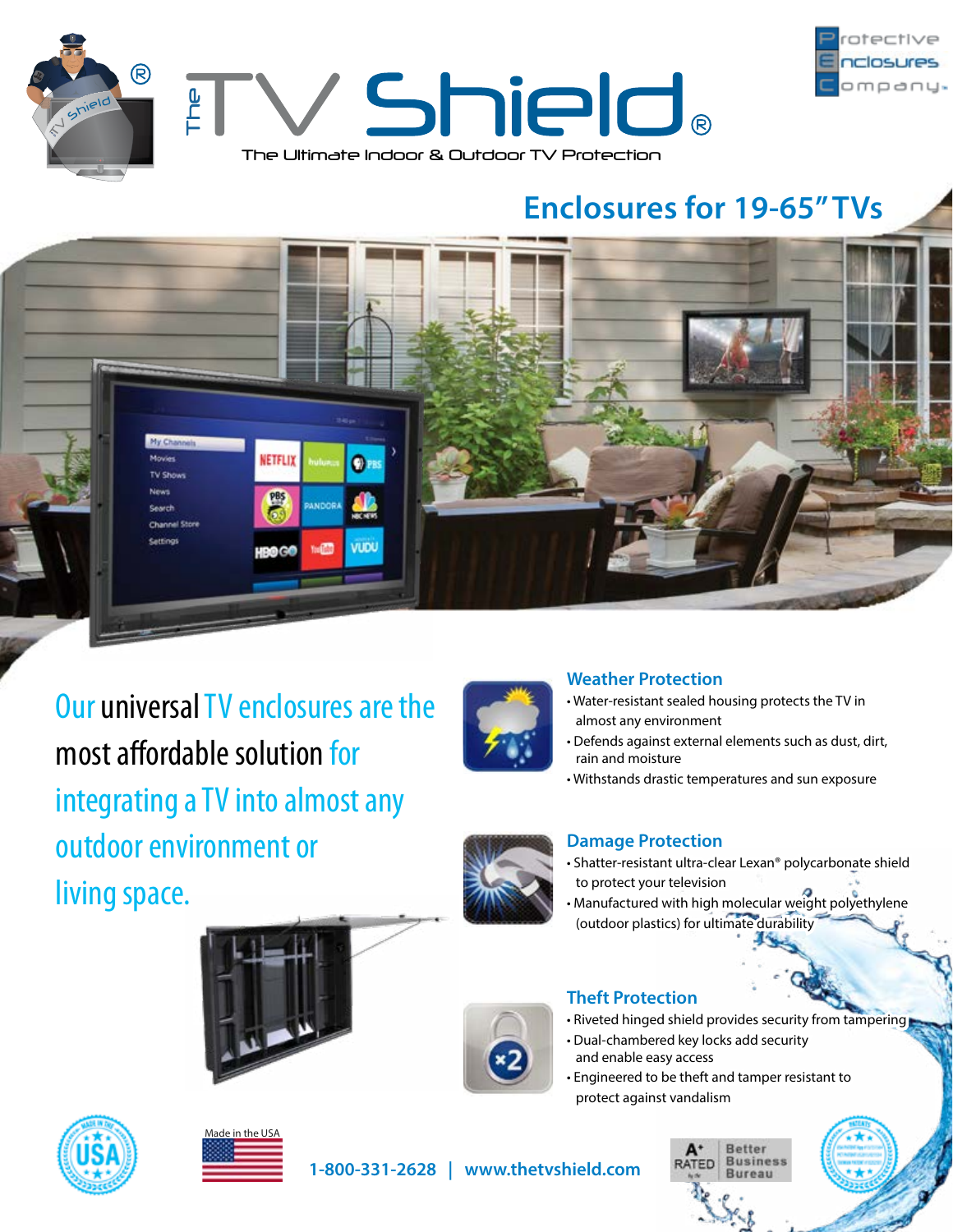



# **Enclosures for 19-65" TVs**



Our universal TV enclosures are the most affordable solution for integrating a TV into almost any outdoor environment or living space.



## **Weather Protection**

- Water-resistant sealed housing protects the TV in almost any environment
- Defends against external elements such as dust, dirt, rain and moisture
- Withstands drastic temperatures and sun exposure



## **Damage Protection**

- Shatter-resistant ultra-clear Lexan® polycarbonate shield to protect your television
- Manufactured with high molecular weight polyethylene (outdoor plastics) for ultimate durability





# **Theft Protection**

- Riveted hinged shield provides security from tampering
- Dual-chambered key locks add security and enable easy access
- Engineered to be theft and tamper resistant to protect against vandalism





**1-800-331-2628 | www.thetvshield.com**